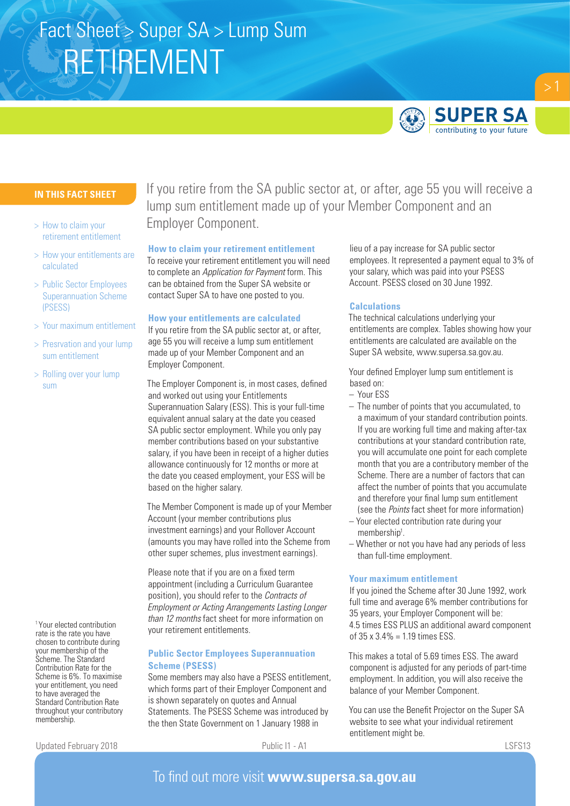# RETIREMENT Fact Sheet > Super SA > Lump Sum



## **IN THIS FACT SHEET**

- > How to claim your retirement entitlement
- > How your entitlements are calculated
- > Public Sector Employees Superannuation Scheme (PSESS)
- > Your maximum entitlement
- > Presrvation and your lump sum entitlement
- > Rolling over your lump sum

1 Your elected contribution rate is the rate you have chosen to contribute during your membership of the Scheme. The Standard Contribution Rate for the Scheme is 6%. To maximise your entitlement, you need to have averaged the Standard Contribution Rate throughout your contributory membership.

If you retire from the SA public sector at, or after, age 55 you will receive a lump sum entitlement made up of your Member Component and an Employer Component.

#### **How to claim your retirement entitlement**

To receive your retirement entitlement you will need to complete an *Application for Payment* form. This can be obtained from the Super SA website or contact Super SA to have one posted to you.

### **How your entitlements are calculated**

If you retire from the SA public sector at, or after, age 55 you will receive a lump sum entitlement made up of your Member Component and an Employer Component.

The Employer Component is, in most cases, defined and worked out using your Entitlements Superannuation Salary (ESS). This is your full-time equivalent annual salary at the date you ceased SA public sector employment. While you only pay member contributions based on your substantive salary, if you have been in receipt of a higher duties allowance continuously for 12 months or more at the date you ceased employment, your ESS will be based on the higher salary.

The Member Component is made up of your Member Account (your member contributions plus investment earnings) and your Rollover Account (amounts you may have rolled into the Scheme from other super schemes, plus investment earnings).

Please note that if you are on a fixed term appointment (including a Curriculum Guarantee position), you should refer to the *Contracts of Employment or Acting Arrangements Lasting Longer than 12 months* fact sheet for more information on your retirement entitlements.

## **Public Sector Employees Superannuation Scheme (PSESS)**

Some members may also have a PSESS entitlement, which forms part of their Employer Component and is shown separately on quotes and Annual Statements. The PSESS Scheme was introduced by the then State Government on 1 January 1988 in

lieu of a pay increase for SA public sector employees. It represented a payment equal to 3% of your salary, which was paid into your PSESS Account. PSESS closed on 30 June 1992.

## **Calculations**

The technical calculations underlying your entitlements are complex. Tables showing how your entitlements are calculated are available on the Super SA website, www.supersa.sa.gov.au.

Your defined Employer lump sum entitlement is based on:

- Your ESS
- The number of points that you accumulated, to a maximum of your standard contribution points. If you are working full time and making after-tax contributions at your standard contribution rate, you will accumulate one point for each complete month that you are a contributory member of the Scheme. There are a number of factors that can affect the number of points that you accumulate and therefore your final lump sum entitlement (see the *Points* fact sheet for more information)
- Your elected contribution rate during your membership<sup>1</sup>.
- Whether or not you have had any periods of less than full-time employment.

### **Your maximum entitlement**

If you joined the Scheme after 30 June 1992, work full time and average 6% member contributions for 35 years, your Employer Component will be: 4.5 times ESS PLUS an additional award component of  $35 \times 3.4\% = 1.19$  times  $FSS$ .

This makes a total of 5.69 times ESS. The award component is adjusted for any periods of part-time employment. In addition, you will also receive the balance of your Member Component.

You can use the Benefit Projector on the Super SA website to see what your individual retirement entitlement might be.

Updated February 2018 **Public I1 - A1** Public I1 - A1 **Public I1 - A1** LSFS13